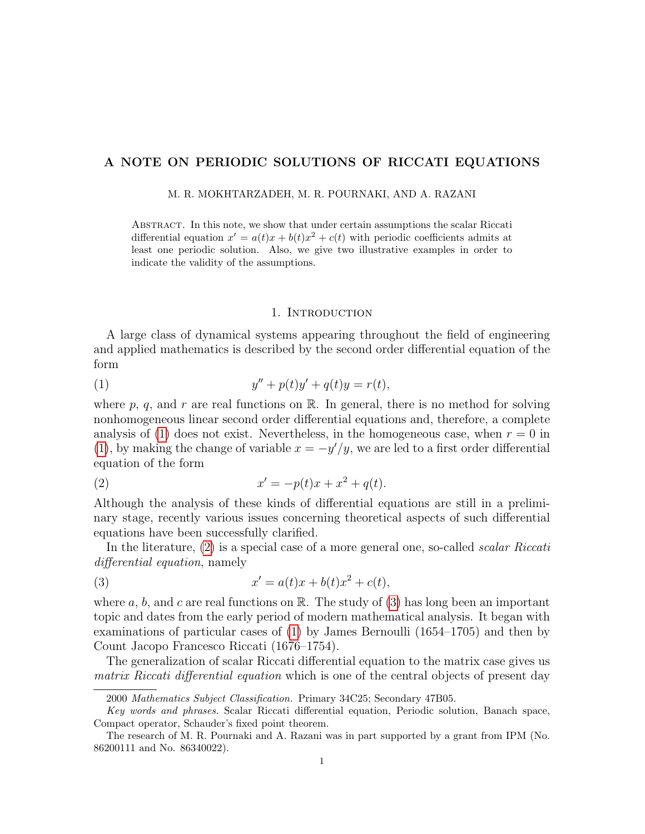# A NOTE ON PERIODIC SOLUTIONS OF RICCATI EQUATIONS

M. R. MOKHTARZADEH, M. R. POURNAKI, AND A. RAZANI

Abstract. In this note, we show that under certain assumptions the scalar Riccati differential equation  $x' = a(t)x + b(t)x^2 + c(t)$  with periodic coefficients admits at least one periodic solution. Also, we give two illustrative examples in order to indicate the validity of the assumptions.

### <span id="page-0-2"></span><span id="page-0-1"></span><span id="page-0-0"></span>1. INTRODUCTION

A large class of dynamical systems appearing throughout the field of engineering and applied mathematics is described by the second order differential equation of the form

(1) 
$$
y'' + p(t)y' + q(t)y = r(t),
$$

where p, q, and r are real functions on  $\mathbb{R}$ . In general, there is no method for solving nonhomogeneous linear second order differential equations and, therefore, a complete analysis of [\(1\)](#page-0-0) does not exist. Nevertheless, in the homogeneous case, when  $r = 0$  in [\(1\)](#page-0-0), by making the change of variable  $x = -y'/y$ , we are led to a first order differential equation of the form

(2) 
$$
x' = -p(t)x + x^2 + q(t).
$$

Although the analysis of these kinds of differential equations are still in a preliminary stage, recently various issues concerning theoretical aspects of such differential equations have been successfully clarified.

In the literature, [\(2\)](#page-0-1) is a special case of a more general one, so-called *scalar Riccati* differential equation, namely

(3) 
$$
x' = a(t)x + b(t)x^2 + c(t),
$$

where  $a, b$ , and  $c$  are real functions on  $\mathbb{R}$ . The study of [\(3\)](#page-0-2) has long been an important topic and dates from the early period of modern mathematical analysis. It began with examinations of particular cases of [\(1\)](#page-0-0) by James Bernoulli (1654–1705) and then by Count Jacopo Francesco Riccati (1676–1754).

The generalization of scalar Riccati differential equation to the matrix case gives us matrix Riccati differential equation which is one of the central objects of present day

<sup>2000</sup> Mathematics Subject Classification. Primary 34C25; Secondary 47B05.

Key words and phrases. Scalar Riccati differential equation, Periodic solution, Banach space, Compact operator, Schauder's fixed point theorem.

The research of M. R. Pournaki and A. Razani was in part supported by a grant from IPM (No. 86200111 and No. 86340022).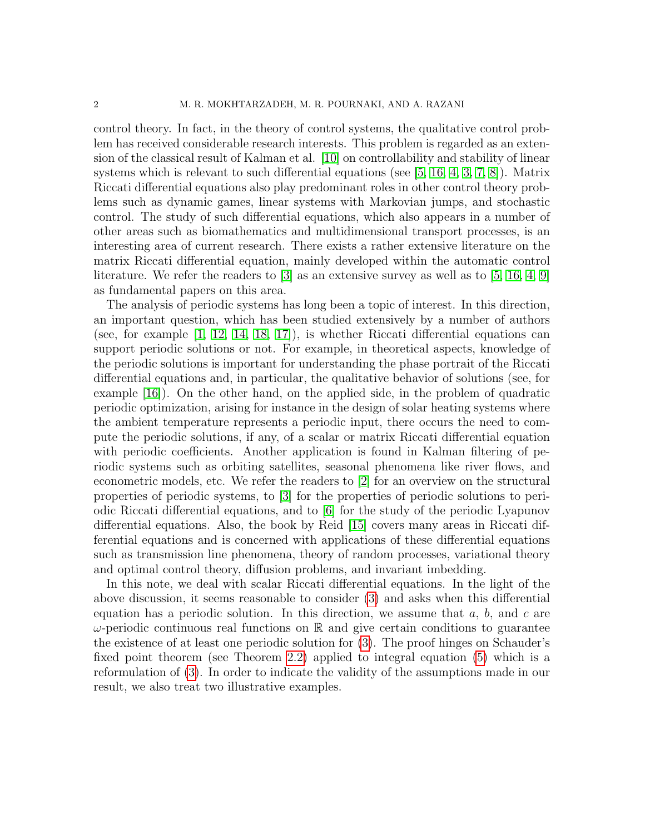control theory. In fact, in the theory of control systems, the qualitative control problem has received considerable research interests. This problem is regarded as an extension of the classical result of Kalman et al. [\[10\]](#page-9-0) on controllability and stability of linear systems which is relevant to such differential equations (see [\[5,](#page-8-0) [16,](#page-9-1) [4,](#page-8-1) [3,](#page-8-2) [7,](#page-8-3) [8\]](#page-9-2)). Matrix Riccati differential equations also play predominant roles in other control theory problems such as dynamic games, linear systems with Markovian jumps, and stochastic control. The study of such differential equations, which also appears in a number of other areas such as biomathematics and multidimensional transport processes, is an interesting area of current research. There exists a rather extensive literature on the matrix Riccati differential equation, mainly developed within the automatic control literature. We refer the readers to  $[3]$  as an extensive survey as well as to  $[5, 16, 4, 9]$  $[5, 16, 4, 9]$  $[5, 16, 4, 9]$  $[5, 16, 4, 9]$ as fundamental papers on this area.

The analysis of periodic systems has long been a topic of interest. In this direction, an important question, which has been studied extensively by a number of authors (see, for example [\[1,](#page-8-4) [12,](#page-9-4) [14,](#page-9-5) [18,](#page-9-6) [17\]](#page-9-7)), is whether Riccati differential equations can support periodic solutions or not. For example, in theoretical aspects, knowledge of the periodic solutions is important for understanding the phase portrait of the Riccati differential equations and, in particular, the qualitative behavior of solutions (see, for example [\[16\]](#page-9-1)). On the other hand, on the applied side, in the problem of quadratic periodic optimization, arising for instance in the design of solar heating systems where the ambient temperature represents a periodic input, there occurs the need to compute the periodic solutions, if any, of a scalar or matrix Riccati differential equation with periodic coefficients. Another application is found in Kalman filtering of periodic systems such as orbiting satellites, seasonal phenomena like river flows, and econometric models, etc. We refer the readers to [\[2\]](#page-8-5) for an overview on the structural properties of periodic systems, to [\[3\]](#page-8-2) for the properties of periodic solutions to periodic Riccati differential equations, and to [\[6\]](#page-8-6) for the study of the periodic Lyapunov differential equations. Also, the book by Reid [\[15\]](#page-9-8) covers many areas in Riccati differential equations and is concerned with applications of these differential equations such as transmission line phenomena, theory of random processes, variational theory and optimal control theory, diffusion problems, and invariant imbedding.

In this note, we deal with scalar Riccati differential equations. In the light of the above discussion, it seems reasonable to consider [\(3\)](#page-0-2) and asks when this differential equation has a periodic solution. In this direction, we assume that  $a, b$ , and  $c$  are  $\omega$ -periodic continuous real functions on R and give certain conditions to guarantee the existence of at least one periodic solution for [\(3\)](#page-0-2). The proof hinges on Schauder's fixed point theorem (see Theorem [2.2\)](#page-2-0) applied to integral equation [\(5\)](#page-3-0) which is a reformulation of [\(3\)](#page-0-2). In order to indicate the validity of the assumptions made in our result, we also treat two illustrative examples.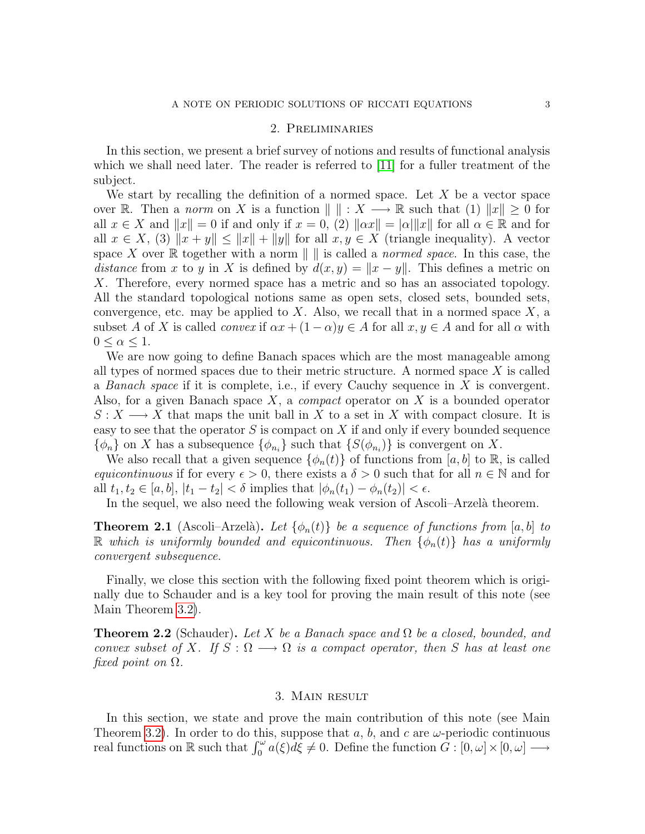### 2. Preliminaries

In this section, we present a brief survey of notions and results of functional analysis which we shall need later. The reader is referred to [\[11\]](#page-9-9) for a fuller treatment of the subject.

We start by recalling the definition of a normed space. Let  $X$  be a vector space over R. Then a norm on X is a function  $\| \cdot \| : X \longrightarrow \mathbb{R}$  such that (1)  $\|x\| \geq 0$  for all  $x \in X$  and  $||x|| = 0$  if and only if  $x = 0$ , (2)  $||\alpha x|| = |\alpha| ||x||$  for all  $\alpha \in \mathbb{R}$  and for all  $x \in X$ , (3)  $||x + y|| \le ||x|| + ||y||$  for all  $x, y \in X$  (triangle inequality). A vector space X over R together with a norm  $\| \cdot \|$  is called a normed space. In this case, the distance from x to y in X is defined by  $d(x, y) = ||x - y||$ . This defines a metric on X. Therefore, every normed space has a metric and so has an associated topology. All the standard topological notions same as open sets, closed sets, bounded sets, convergence, etc. may be applied to  $X$ . Also, we recall that in a normed space  $X$ , a subset A of X is called *convex* if  $\alpha x + (1 - \alpha)y \in A$  for all  $x, y \in A$  and for all  $\alpha$  with  $0 \leq \alpha \leq 1$ .

We are now going to define Banach spaces which are the most manageable among all types of normed spaces due to their metric structure. A normed space X is called a Banach space if it is complete, i.e., if every Cauchy sequence in X is convergent. Also, for a given Banach space  $X$ , a *compact* operator on  $X$  is a bounded operator  $S: X \longrightarrow X$  that maps the unit ball in X to a set in X with compact closure. It is easy to see that the operator  $S$  is compact on  $X$  if and only if every bounded sequence  $\{\phi_n\}$  on X has a subsequence  $\{\phi_{n_i}\}\$  such that  $\{S(\phi_{n_i})\}\$ is convergent on X.

We also recall that a given sequence  $\{\phi_n(t)\}\$  of functions from [a, b] to R, is called equicontinuous if for every  $\epsilon > 0$ , there exists a  $\delta > 0$  such that for all  $n \in \mathbb{N}$  and for all  $t_1, t_2 \in [a, b], |t_1 - t_2| < \delta$  implies that  $|\phi_n(t_1) - \phi_n(t_2)| < \epsilon$ .

In the sequel, we also need the following weak version of Ascoli–Arzelà theorem.

<span id="page-2-1"></span>**Theorem 2.1** (Ascoli–Arzelà). Let  $\{\phi_n(t)\}\$ be a sequence of functions from [a, b] to R which is uniformly bounded and equicontinuous. Then  $\{\phi_n(t)\}\$  has a uniformly convergent subsequence.

Finally, we close this section with the following fixed point theorem which is originally due to Schauder and is a key tool for proving the main result of this note (see Main Theorem [3.2\)](#page-4-0).

<span id="page-2-0"></span>**Theorem 2.2** (Schauder). Let X be a Banach space and  $\Omega$  be a closed, bounded, and convex subset of X. If  $S : \Omega \longrightarrow \Omega$  is a compact operator, then S has at least one fixed point on  $\Omega$ .

## 3. Main result

In this section, we state and prove the main contribution of this note (see Main Theorem [3.2\)](#page-4-0). In order to do this, suppose that a, b, and c are  $\omega$ -periodic continuous real functions on  $\mathbb R$  such that  $\int_0^\omega a(\xi)\overline{d\xi} \neq 0$ . Define the function  $\tilde{G} : [0, \omega] \times [0, \omega] \longrightarrow$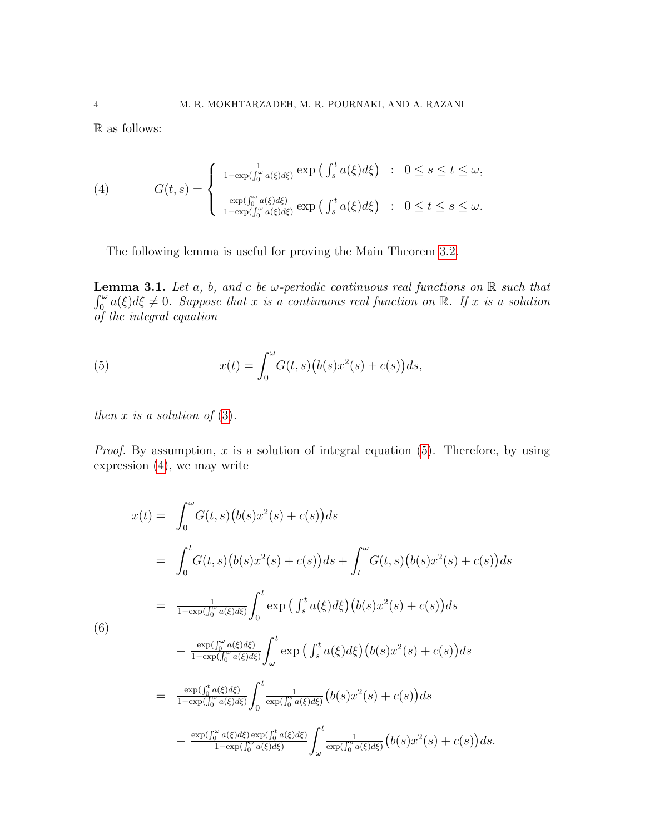R as follows:

(4) 
$$
G(t,s) = \begin{cases} \frac{1}{1-\exp(\int_0^{\omega} a(\xi)d\xi)} \exp\left(\int_s^t a(\xi)d\xi\right) & : 0 \le s \le t \le \omega, \\ \frac{\exp(\int_0^{\omega} a(\xi)d\xi)}{1-\exp(\int_0^{\omega} a(\xi)d\xi)} \exp\left(\int_s^t a(\xi)d\xi\right) & : 0 \le t \le s \le \omega. \end{cases}
$$

<span id="page-3-2"></span><span id="page-3-1"></span>The following lemma is useful for proving the Main Theorem [3.2.](#page-4-0)

**Lemma 3.1.** Let a, b, and c be  $\omega$ -periodic continuous real functions on  $\mathbb{R}$  such that  $\int_0^{\omega} a(\xi) d\xi \neq 0$ . Suppose that x is a continuous real function on R. If x is a solution of the integral equation

<span id="page-3-0"></span>(5) 
$$
x(t) = \int_0^{\omega} G(t,s) (b(s)x^2(s) + c(s)) ds,
$$

then  $x$  is a solution of  $(3)$ .

*Proof.* By assumption,  $x$  is a solution of integral equation [\(5\)](#page-3-0). Therefore, by using expression [\(4\)](#page-3-1), we may write

$$
x(t) = \int_0^{\omega} G(t,s) (b(s)x^2(s) + c(s)) ds
$$
  
\n
$$
= \int_0^t G(t,s) (b(s)x^2(s) + c(s)) ds + \int_t^{\omega} G(t,s) (b(s)x^2(s) + c(s)) ds
$$
  
\n
$$
= \frac{1}{1 - \exp(\int_0^{\omega} a(\xi) d\xi)} \int_0^t \exp(\int_s^t a(\xi) d\xi) (b(s)x^2(s) + c(s)) ds
$$
  
\n(6)  
\n
$$
- \frac{\exp(\int_0^{\omega} a(\xi) d\xi)}{1 - \exp(\int_0^{\omega} a(\xi) d\xi)} \int_{\omega}^t \exp(\int_s^t a(\xi) d\xi) (b(s)x^2(s) + c(s)) ds
$$
  
\n
$$
= \frac{\exp(\int_0^t a(\xi) d\xi)}{1 - \exp(\int_0^{\omega} a(\xi) d\xi)} \int_0^t \frac{1}{\exp(\int_0^s a(\xi) d\xi)} (b(s)x^2(s) + c(s)) ds
$$
  
\n
$$
- \frac{\exp(\int_0^{\omega} a(\xi) d\xi) \exp(\int_0^t a(\xi) d\xi)}{1 - \exp(\int_0^{\omega} a(\xi) d\xi)} \int_{\omega}^t \frac{1}{\exp(\int_0^s a(\xi) d\xi)} (b(s)x^2(s) + c(s)) ds.
$$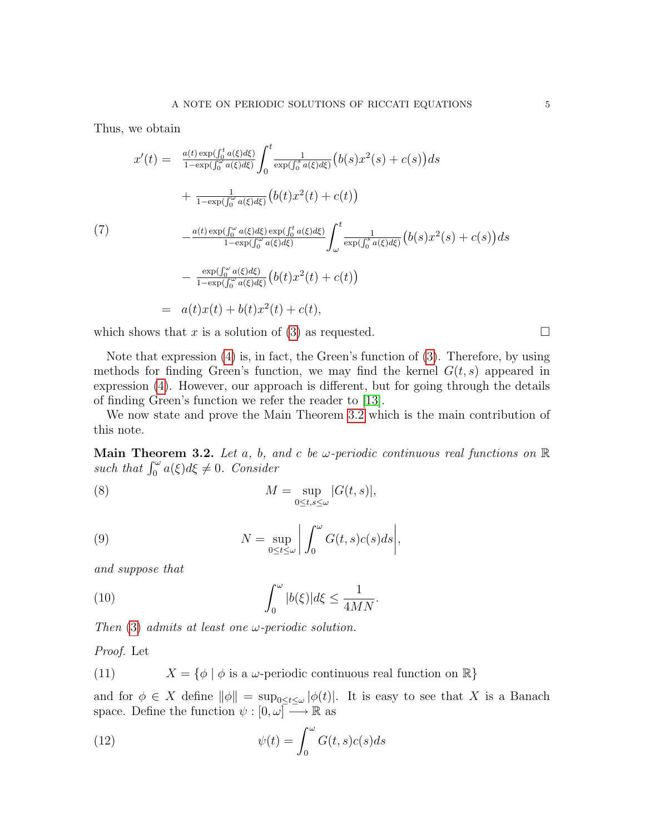Thus, we obtain

$$
x'(t) = \frac{a(t) \exp(\int_0^t a(\xi)d\xi)}{1 - \exp(\int_0^{\infty} a(\xi)d\xi)} \int_0^t \frac{1}{\exp(\int_0^s a(\xi)d\xi)} (b(s)x^2(s) + c(s))ds
$$
  
+ 
$$
\frac{1}{1 - \exp(\int_0^{\infty} a(\xi)d\xi)} (b(t)x^2(t) + c(t))
$$
  

$$
- \frac{a(t) \exp(\int_0^{\infty} a(\xi)d\xi) \exp(\int_0^t a(\xi)d\xi)}{1 - \exp(\int_0^{\infty} a(\xi)d\xi)} \int_{\omega}^t \frac{1}{\exp(\int_0^s a(\xi)d\xi)} (b(s)x^2(s) + c(s))ds
$$
  
- 
$$
\frac{\exp(\int_0^{\infty} a(\xi)d\xi)}{1 - \exp(\int_0^{\infty} a(\xi)d\xi)} (b(t)x^2(t) + c(t))
$$
  
= 
$$
a(t)x(t) + b(t)x^2(t) + c(t),
$$

which shows that x is a solution of [\(3\)](#page-0-2) as requested.  $\square$ 

of finding Green's function we refer the reader to [\[13\]](#page-9-10).

Note that expression [\(4\)](#page-3-1) is, in fact, the Green's function of [\(3\)](#page-0-2). Therefore, by using methods for finding Green's function, we may find the kernel  $G(t, s)$  appeared in expression [\(4\)](#page-3-1). However, our approach is different, but for going through the details

We now state and prove the Main Theorem [3.2](#page-4-0) which is the main contribution of this note.

<span id="page-4-0"></span>**Main Theorem 3.2.** Let a, b, and c be w-periodic continuous real functions on  $\mathbb{R}$ such that  $\int_0^{\omega} a(\xi) d\xi \neq 0$ . Consider

(8) 
$$
M = \sup_{0 \leq t,s \leq \omega} |G(t,s)|,
$$

(9) 
$$
N = \sup_{0 \le t \le \omega} \left| \int_0^{\omega} G(t,s)c(s)ds \right|,
$$

and suppose that

<span id="page-4-3"></span>(10) 
$$
\int_0^{\omega} |b(\xi)| d\xi \leq \frac{1}{4MN}.
$$

Then [\(3\)](#page-0-2) admits at least one  $\omega$ -periodic solution.

Proof. Let

(11) 
$$
X = \{ \phi \mid \phi \text{ is a } \omega \text{-periodic continuous real function on } \mathbb{R} \}
$$

and for  $\phi \in X$  define  $\|\phi\| = \sup_{0 \leq t \leq \omega} |\phi(t)|$ . It is easy to see that X is a Banach space. Define the function  $\psi : [0, \omega] \longrightarrow \mathbb{R}$  as

<span id="page-4-1"></span>(12) 
$$
\psi(t) = \int_0^{\omega} G(t,s)c(s)ds
$$

<span id="page-4-2"></span>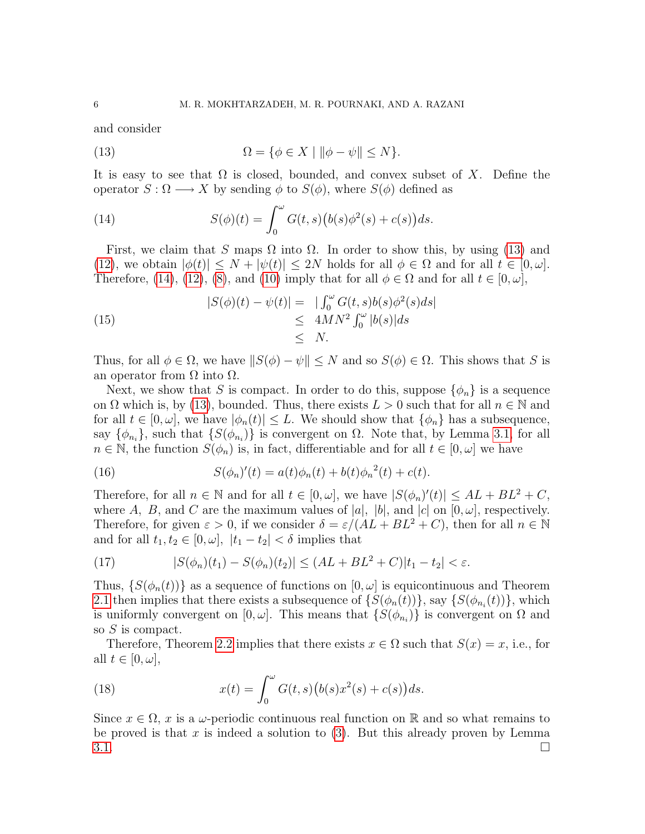and consider

<span id="page-5-0"></span>(13) 
$$
\Omega = \{ \phi \in X \mid \|\phi - \psi\| \le N \}.
$$

It is easy to see that  $\Omega$  is closed, bounded, and convex subset of X. Define the operator  $S : \Omega \longrightarrow X$  by sending  $\phi$  to  $S(\phi)$ , where  $S(\phi)$  defined as

<span id="page-5-1"></span>(14) 
$$
S(\phi)(t) = \int_0^{\omega} G(t,s) (b(s)\phi^2(s) + c(s)) ds.
$$

First, we claim that S maps  $\Omega$  into  $\Omega$ . In order to show this, by using [\(13\)](#page-5-0) and [\(12\)](#page-4-1), we obtain  $|\phi(t)| \leq N + |\psi(t)| \leq 2N$  holds for all  $\phi \in \Omega$  and for all  $t \in [0, \omega]$ . Therefore, [\(14\)](#page-5-1), [\(12\)](#page-4-1), [\(8\)](#page-4-2), and [\(10\)](#page-4-3) imply that for all  $\phi \in \Omega$  and for all  $t \in [0, \omega]$ ,

(15) 
$$
|S(\phi)(t) - \psi(t)| = \left| \int_0^{\omega} G(t,s)b(s)\phi^2(s)ds \right|
$$

$$
\leq 4MN^2 \int_0^{\omega} |b(s)|ds
$$

$$
\leq N.
$$

Thus, for all  $\phi \in \Omega$ , we have  $||S(\phi) - \psi|| \leq N$  and so  $S(\phi) \in \Omega$ . This shows that S is an operator from  $\Omega$  into  $\Omega$ .

Next, we show that S is compact. In order to do this, suppose  $\{\phi_n\}$  is a sequence on  $\Omega$  which is, by [\(13\)](#page-5-0), bounded. Thus, there exists  $L > 0$  such that for all  $n \in \mathbb{N}$  and for all  $t \in [0, \omega]$ , we have  $|\phi_n(t)| \leq L$ . We should show that  $\{\phi_n\}$  has a subsequence, say  $\{\phi_{n_i}\}\$ , such that  $\{S(\phi_{n_i})\}\$ is convergent on  $\Omega$ . Note that, by Lemma [3.1,](#page-3-2) for all  $n \in \mathbb{N}$ , the function  $S(\phi_n)$  is, in fact, differentiable and for all  $t \in [0, \omega]$  we have

(16) 
$$
S(\phi_n)'(t) = a(t)\phi_n(t) + b(t)\phi_n^{2}(t) + c(t).
$$

Therefore, for all  $n \in \mathbb{N}$  and for all  $t \in [0, \omega]$ , we have  $|S(\phi_n)'(t)| \leq AL + BL^2 + C$ , where A, B, and C are the maximum values of |a|, |b|, and  $|c|$  on  $[0, \omega]$ , respectively. Therefore, for given  $\varepsilon > 0$ , if we consider  $\delta = \varepsilon/(AL + BL^2 + C)$ , then for all  $n \in \mathbb{N}$ and for all  $t_1, t_2 \in [0, \omega], |t_1 - t_2| < \delta$  implies that

(17) 
$$
|S(\phi_n)(t_1) - S(\phi_n)(t_2)| \le (AL + BL^2 + C)|t_1 - t_2| < \varepsilon.
$$

Thus,  $\{S(\phi_n(t))\}$  as a sequence of functions on  $[0,\omega]$  is equicontinuous and Theorem [2.1](#page-2-1) then implies that there exists a subsequence of  $\{S(\phi_n(t))\}$ , say  $\{S(\phi_{n_i}(t))\}$ , which is uniformly convergent on  $[0, \omega]$ . This means that  $\{S(\phi_{n_i})\}$  is convergent on  $\Omega$  and so S is compact.

Therefore, Theorem [2.2](#page-2-0) implies that there exists  $x \in \Omega$  such that  $S(x) = x$ , i.e., for all  $t \in [0, \omega],$ 

(18) 
$$
x(t) = \int_0^{\omega} G(t,s) (b(s)x^2(s) + c(s)) ds.
$$

Since  $x \in \Omega$ , x is a  $\omega$ -periodic continuous real function on R and so what remains to be proved is that x is indeed a solution to  $(3)$ . But this already proven by Lemma  $3.1.$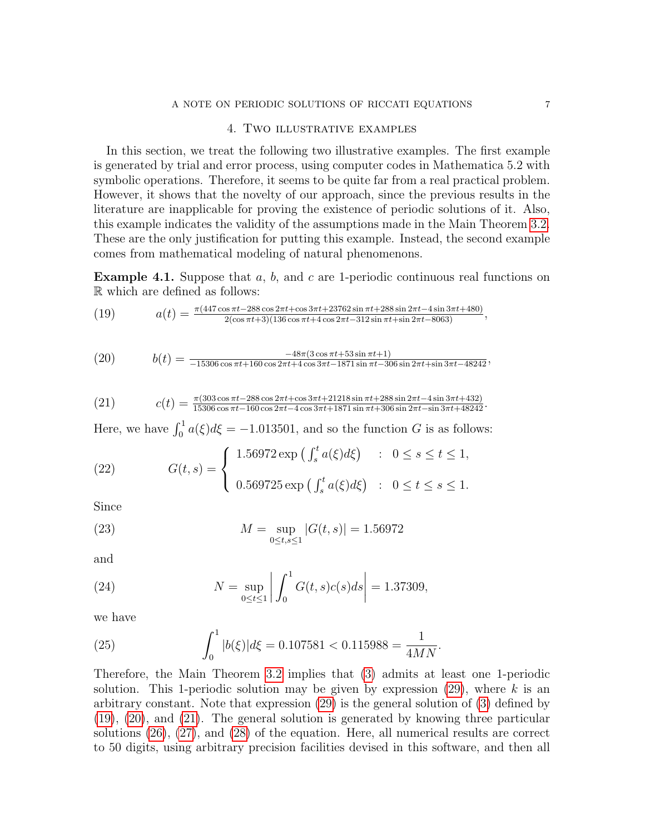### A NOTE ON PERIODIC SOLUTIONS OF RICCATI EQUATIONS 7

#### <span id="page-6-2"></span><span id="page-6-1"></span><span id="page-6-0"></span>4. Two illustrative examples

In this section, we treat the following two illustrative examples. The first example is generated by trial and error process, using computer codes in Mathematica 5.2 with symbolic operations. Therefore, it seems to be quite far from a real practical problem. However, it shows that the novelty of our approach, since the previous results in the literature are inapplicable for proving the existence of periodic solutions of it. Also, this example indicates the validity of the assumptions made in the Main Theorem [3.2.](#page-4-0) These are the only justification for putting this example. Instead, the second example comes from mathematical modeling of natural phenomenons.

**Example 4.1.** Suppose that  $a, b$ , and  $c$  are 1-periodic continuous real functions on R which are defined as follows:

(19) 
$$
a(t) = \frac{\pi (447 \cos \pi t - 288 \cos 2\pi t + \cos 3\pi t + 23762 \sin \pi t + 288 \sin 2\pi t - 4 \sin 3\pi t + 480)}{2(\cos \pi t + 3)(136 \cos \pi t + 4 \cos 2\pi t - 312 \sin \pi t + \sin 2\pi t - 8063)},
$$

(20) 
$$
b(t) = \frac{-48\pi (3\cos\pi t + 53\sin\pi t + 1)}{-15306\cos\pi t + 160\cos 2\pi t + 4\cos 3\pi t - 1871\sin\pi t - 306\sin 2\pi t + \sin 3\pi t - 48242},
$$

(21) 
$$
c(t) = \frac{\pi (303 \cos \pi t - 288 \cos 2\pi t + \cos 3\pi t + 21218 \sin \pi t + 288 \sin 2\pi t - 4 \sin 3\pi t + 432)}{15306 \cos \pi t - 160 \cos 2\pi t - 4 \cos 3\pi t + 1871 \sin \pi t + 306 \sin 2\pi t - \sin 3\pi t + 48242}.
$$

Here, we have  $\int_0^1 a(\xi)d\xi = -1.013501$ , and so the function G is as follows:

(22) 
$$
G(t,s) = \begin{cases} 1.56972 \exp\left(\int_s^t a(\xi)d\xi\right) & : 0 \le s \le t \le 1, \\ 0.569725 \exp\left(\int_s^t a(\xi)d\xi\right) & : 0 \le t \le s \le 1. \end{cases}
$$

Since

(23) 
$$
M = \sup_{0 \le t, s \le 1} |G(t, s)| = 1.56972
$$

and

(24) 
$$
N = \sup_{0 \le t \le 1} \left| \int_0^1 G(t, s) c(s) ds \right| = 1.37309,
$$

we have

(25) 
$$
\int_0^1 |b(\xi)| d\xi = 0.107581 < 0.115988 = \frac{1}{4MN}.
$$

Therefore, the Main Theorem [3.2](#page-4-0) implies that [\(3\)](#page-0-2) admits at least one 1-periodic solution. This 1-periodic solution may be given by expression  $(29)$ , where k is an arbitrary constant. Note that expression [\(29\)](#page-7-0) is the general solution of [\(3\)](#page-0-2) defined by [\(19\)](#page-6-0), [\(20\)](#page-6-1), and [\(21\)](#page-6-2). The general solution is generated by knowing three particular solutions [\(26\)](#page-7-1), [\(27\)](#page-7-2), and [\(28\)](#page-7-3) of the equation. Here, all numerical results are correct to 50 digits, using arbitrary precision facilities devised in this software, and then all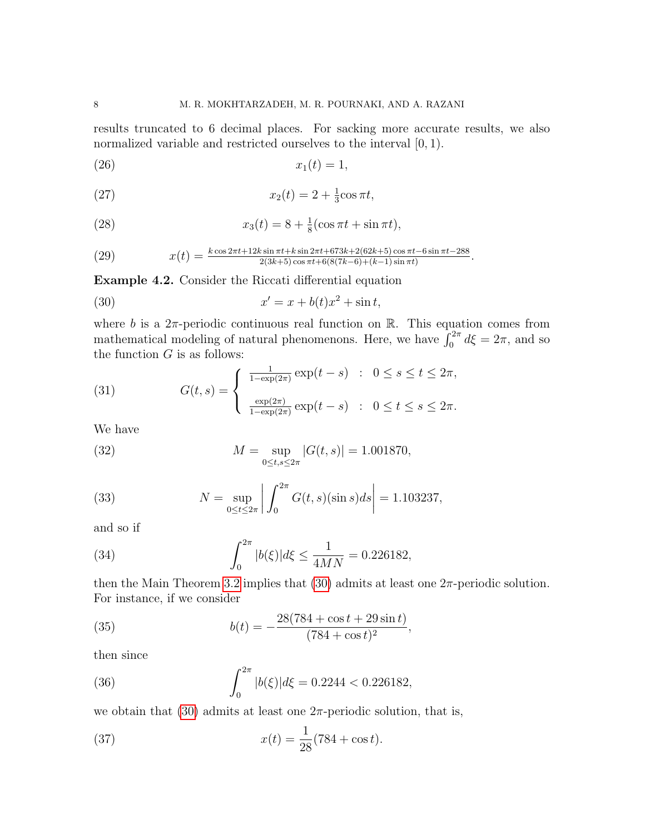results truncated to 6 decimal places. For sacking more accurate results, we also normalized variable and restricted ourselves to the interval  $[0, 1)$ .

<span id="page-7-1"></span>
$$
(26) \t\t x_1(t) = 1,
$$

<span id="page-7-2"></span>(27) 
$$
x_2(t) = 2 + \frac{1}{3}\cos \pi t,
$$

<span id="page-7-3"></span>(28) 
$$
x_3(t) = 8 + \frac{1}{8}(\cos \pi t + \sin \pi t),
$$

<span id="page-7-0"></span>(29) 
$$
x(t) = \frac{k \cos 2\pi t + 12k \sin \pi t + k \sin 2\pi t + 673k + 2(62k + 5) \cos \pi t - 6 \sin \pi t - 288}{2(3k + 5) \cos \pi t + 6(8(7k - 6) + (k - 1) \sin \pi t)}.
$$

Example 4.2. Consider the Riccati differential equation

<span id="page-7-4"></span>(30) 
$$
x' = x + b(t)x^2 + \sin t,
$$

where b is a  $2\pi$ -periodic continuous real function on R. This equation comes from mathematical modeling of natural phenomenons. Here, we have  $\int_0^{2\pi} d\xi = 2\pi$ , and so the function  $G$  is as follows:

(31) 
$$
G(t,s) = \begin{cases} \frac{1}{1-\exp(2\pi)} \exp(t-s) & : 0 \le s \le t \le 2\pi, \\ \frac{\exp(2\pi)}{1-\exp(2\pi)} \exp(t-s) & : 0 \le t \le s \le 2\pi. \end{cases}
$$

We have

(32) 
$$
M = \sup_{0 \le t, s \le 2\pi} |G(t, s)| = 1.001870,
$$

(33) 
$$
N = \sup_{0 \le t \le 2\pi} \left| \int_0^{2\pi} G(t, s)(\sin s) ds \right| = 1.103237,
$$

and so if

(34) 
$$
\int_0^{2\pi} |b(\xi)| d\xi \le \frac{1}{4MN} = 0.226182,
$$

then the Main Theorem [3.2](#page-4-0) implies that  $(30)$  admits at least one  $2\pi$ -periodic solution. For instance, if we consider

(35) 
$$
b(t) = -\frac{28(784 + \cos t + 29\sin t)}{(784 + \cos t)^2},
$$

then since

(36) 
$$
\int_0^{2\pi} |b(\xi)| d\xi = 0.2244 < 0.226182,
$$

we obtain that  $(30)$  admits at least one  $2\pi$ -periodic solution, that is,

(37) 
$$
x(t) = \frac{1}{28}(784 + \cos t).
$$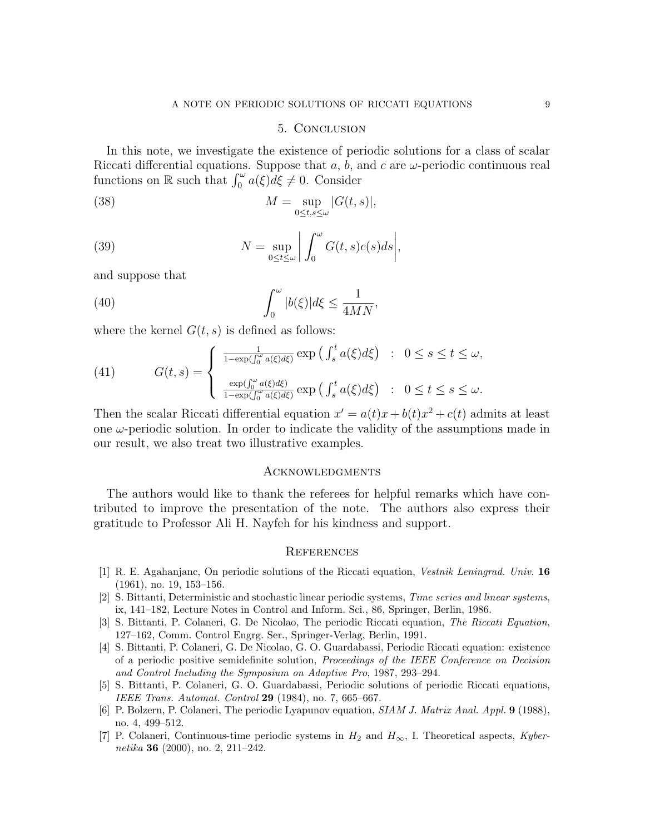#### 5. Conclusion

In this note, we investigate the existence of periodic solutions for a class of scalar Riccati differential equations. Suppose that  $a, b$ , and  $c$  are  $\omega$ -periodic continuous real functions on  $\mathbb R$  such that  $\int_0^\omega a(\xi) d\xi \neq 0$ . Consider

(38) 
$$
M = \sup_{0 \leq t, s \leq \omega} |G(t, s)|,
$$

(39) 
$$
N = \sup_{0 \le t \le \omega} \left| \int_0^{\omega} G(t,s)c(s)ds \right|,
$$

and suppose that

(40) 
$$
\int_0^{\omega} |b(\xi)| d\xi \leq \frac{1}{4MN},
$$

where the kernel  $G(t, s)$  is defined as follows:

(41) 
$$
G(t,s) = \begin{cases} \frac{1}{1-\exp(\int_0^{\omega} a(\xi)d\xi)} \exp\left(\int_s^t a(\xi)d\xi\right) & : 0 \le s \le t \le \omega, \\ \frac{\exp(\int_0^{\omega} a(\xi)d\xi)}{1-\exp(\int_0^{\omega} a(\xi)d\xi)} \exp\left(\int_s^t a(\xi)d\xi\right) & : 0 \le t \le s \le \omega. \end{cases}
$$

Then the scalar Riccati differential equation  $x' = a(t)x + b(t)x^2 + c(t)$  admits at least one  $\omega$ -periodic solution. In order to indicate the validity of the assumptions made in our result, we also treat two illustrative examples.

#### **ACKNOWLEDGMENTS**

The authors would like to thank the referees for helpful remarks which have contributed to improve the presentation of the note. The authors also express their gratitude to Professor Ali H. Nayfeh for his kindness and support.

#### **REFERENCES**

- <span id="page-8-4"></span>[1] R. E. Agahanjanc, On periodic solutions of the Riccati equation, Vestnik Leningrad. Univ. 16 (1961), no. 19, 153–156.
- <span id="page-8-5"></span>[2] S. Bittanti, Deterministic and stochastic linear periodic systems, Time series and linear systems, ix, 141–182, Lecture Notes in Control and Inform. Sci., 86, Springer, Berlin, 1986.
- <span id="page-8-2"></span>[3] S. Bittanti, P. Colaneri, G. De Nicolao, The periodic Riccati equation, The Riccati Equation, 127–162, Comm. Control Engrg. Ser., Springer-Verlag, Berlin, 1991.
- <span id="page-8-1"></span>[4] S. Bittanti, P. Colaneri, G. De Nicolao, G. O. Guardabassi, Periodic Riccati equation: existence of a periodic positive semidefinite solution, Proceedings of the IEEE Conference on Decision and Control Including the Symposium on Adaptive Pro, 1987, 293–294.
- <span id="page-8-0"></span>[5] S. Bittanti, P. Colaneri, G. O. Guardabassi, Periodic solutions of periodic Riccati equations, IEEE Trans. Automat. Control 29 (1984), no. 7, 665–667.
- <span id="page-8-6"></span>[6] P. Bolzern, P. Colaneri, The periodic Lyapunov equation, SIAM J. Matrix Anal. Appl. 9 (1988), no. 4, 499–512.
- <span id="page-8-3"></span>[7] P. Colaneri, Continuous-time periodic systems in  $H_2$  and  $H_{\infty}$ , I. Theoretical aspects, Kybernetika 36 (2000), no. 2, 211–242.